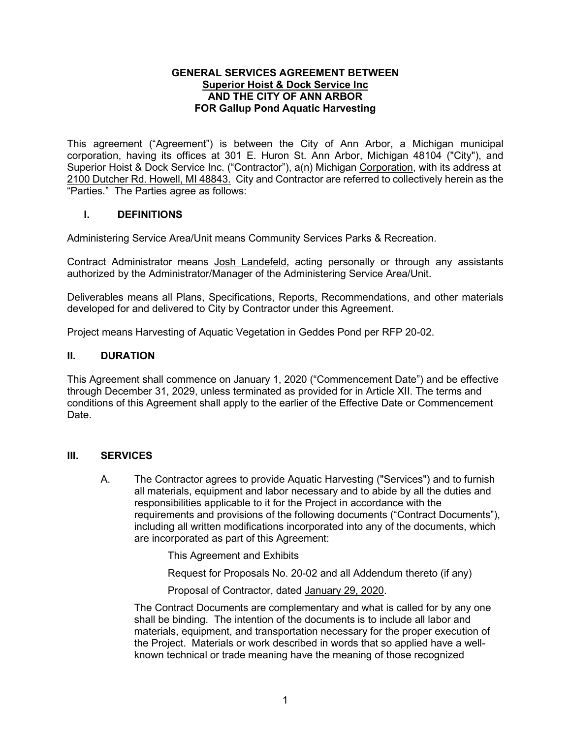#### **GENERAL SERVICES AGREEMENT BETWEEN Superior Hoist & Dock Service Inc AND THE CITY OF ANN ARBOR FOR Gallup Pond Aquatic Harvesting**

This agreement ("Agreement") is between the City of Ann Arbor, a Michigan municipal corporation, having its offices at 301 E. Huron St. Ann Arbor, Michigan 48104 ("City"), and Superior Hoist & Dock Service Inc. ("Contractor"),  $a(n)$  Michigan Corporation, with its address at 2100 Dutcher Rd. Howell, MI 48843. City and Contractor are referred to collectively herein as the "Parties." The Parties agree as follows:

## **I. DEFINITIONS**

Administering Service Area/Unit means Community Services Parks & Recreation.

Contract Administrator means Josh Landefeld, acting personally or through any assistants authorized by the Administrator/Manager of the Administering Service Area/Unit.

Deliverables means all Plans, Specifications, Reports, Recommendations, and other materials developed for and delivered to City by Contractor under this Agreement.

Project means Harvesting of Aquatic Vegetation in Geddes Pond per RFP 20-02.

#### **II. DURATION**

This Agreement shall commence on January 1, 2020 ("Commencement Date") and be effective through December 31, 2029, unless terminated as provided for in Article XII. The terms and conditions of this Agreement shall apply to the earlier of the Effective Date or Commencement Date.

#### **III. SERVICES**

A. The Contractor agrees to provide Aquatic Harvesting ("Services") and to furnish all materials, equipment and labor necessary and to abide by all the duties and responsibilities applicable to it for the Project in accordance with the requirements and provisions of the following documents ("Contract Documents"), including all written modifications incorporated into any of the documents, which are incorporated as part of this Agreement:

This Agreement and Exhibits

Request for Proposals No. 20-02 and all Addendum thereto (if any)

Proposal of Contractor, dated January 29, 2020.

The Contract Documents are complementary and what is called for by any one shall be binding. The intention of the documents is to include all labor and materials, equipment, and transportation necessary for the proper execution of the Project. Materials or work described in words that so applied have a wellknown technical or trade meaning have the meaning of those recognized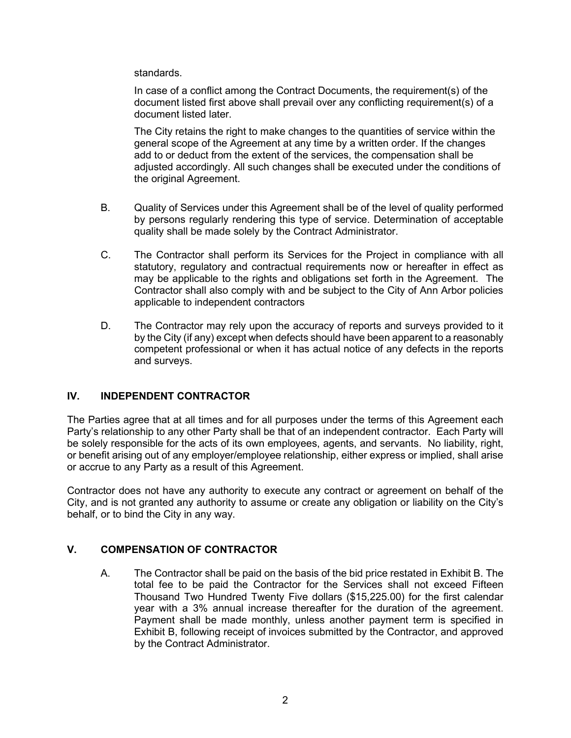standards.

In case of a conflict among the Contract Documents, the requirement(s) of the document listed first above shall prevail over any conflicting requirement(s) of a document listed later.

The City retains the right to make changes to the quantities of service within the general scope of the Agreement at any time by a written order. If the changes add to or deduct from the extent of the services, the compensation shall be adjusted accordingly. All such changes shall be executed under the conditions of the original Agreement.

- B. Quality of Services under this Agreement shall be of the level of quality performed by persons regularly rendering this type of service. Determination of acceptable quality shall be made solely by the Contract Administrator.
- C. The Contractor shall perform its Services for the Project in compliance with all statutory, regulatory and contractual requirements now or hereafter in effect as may be applicable to the rights and obligations set forth in the Agreement. The Contractor shall also comply with and be subject to the City of Ann Arbor policies applicable to independent contractors
- D. The Contractor may rely upon the accuracy of reports and surveys provided to it by the City (if any) except when defects should have been apparent to a reasonably competent professional or when it has actual notice of any defects in the reports and surveys.

# **IV. INDEPENDENT CONTRACTOR**

The Parties agree that at all times and for all purposes under the terms of this Agreement each Party's relationship to any other Party shall be that of an independent contractor. Each Party will be solely responsible for the acts of its own employees, agents, and servants. No liability, right, or benefit arising out of any employer/employee relationship, either express or implied, shall arise or accrue to any Party as a result of this Agreement.

Contractor does not have any authority to execute any contract or agreement on behalf of the City, and is not granted any authority to assume or create any obligation or liability on the City's behalf, or to bind the City in any way.

# **V. COMPENSATION OF CONTRACTOR**

A. The Contractor shall be paid on the basis of the bid price restated in Exhibit B. The total fee to be paid the Contractor for the Services shall not exceed Fifteen Thousand Two Hundred Twenty Five dollars (\$15,225.00) for the first calendar year with a 3% annual increase thereafter for the duration of the agreement. Payment shall be made monthly, unless another payment term is specified in Exhibit B, following receipt of invoices submitted by the Contractor, and approved by the Contract Administrator.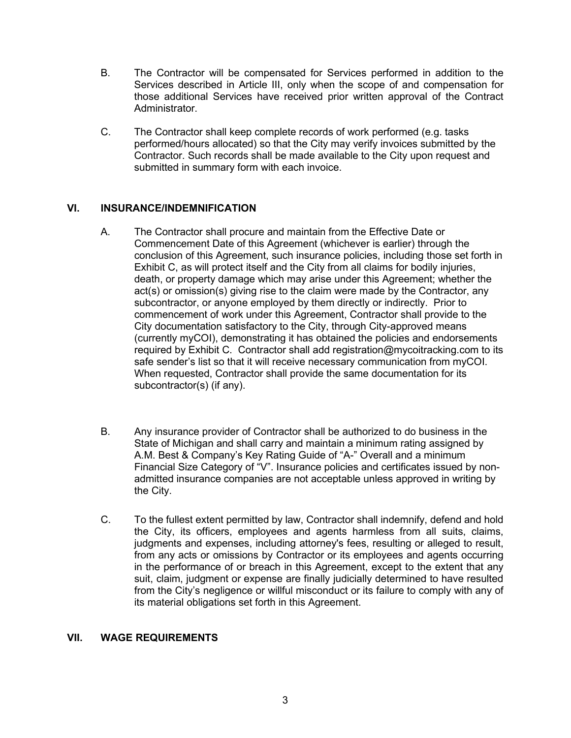- B. The Contractor will be compensated for Services performed in addition to the Services described in Article III, only when the scope of and compensation for those additional Services have received prior written approval of the Contract Administrator.
- C. The Contractor shall keep complete records of work performed (e.g. tasks performed/hours allocated) so that the City may verify invoices submitted by the Contractor. Such records shall be made available to the City upon request and submitted in summary form with each invoice.

# **VI. INSURANCE/INDEMNIFICATION**

- A. The Contractor shall procure and maintain from the Effective Date or Commencement Date of this Agreement (whichever is earlier) through the conclusion of this Agreement, such insurance policies, including those set forth in Exhibit C, as will protect itself and the City from all claims for bodily injuries, death, or property damage which may arise under this Agreement; whether the act(s) or omission(s) giving rise to the claim were made by the Contractor, any subcontractor, or anyone employed by them directly or indirectly. Prior to commencement of work under this Agreement, Contractor shall provide to the City documentation satisfactory to the City, through City-approved means (currently myCOI), demonstrating it has obtained the policies and endorsements required by Exhibit C. Contractor shall add registration@mycoitracking.com to its safe sender's list so that it will receive necessary communication from myCOI. When requested, Contractor shall provide the same documentation for its subcontractor(s) (if any).
- B. Any insurance provider of Contractor shall be authorized to do business in the State of Michigan and shall carry and maintain a minimum rating assigned by A.M. Best & Company's Key Rating Guide of "A-" Overall and a minimum Financial Size Category of "V". Insurance policies and certificates issued by nonadmitted insurance companies are not acceptable unless approved in writing by the City.
- C. To the fullest extent permitted by law, Contractor shall indemnify, defend and hold the City, its officers, employees and agents harmless from all suits, claims, judgments and expenses, including attorney's fees, resulting or alleged to result, from any acts or omissions by Contractor or its employees and agents occurring in the performance of or breach in this Agreement, except to the extent that any suit, claim, judgment or expense are finally judicially determined to have resulted from the City's negligence or willful misconduct or its failure to comply with any of its material obligations set forth in this Agreement.

### **VII. WAGE REQUIREMENTS**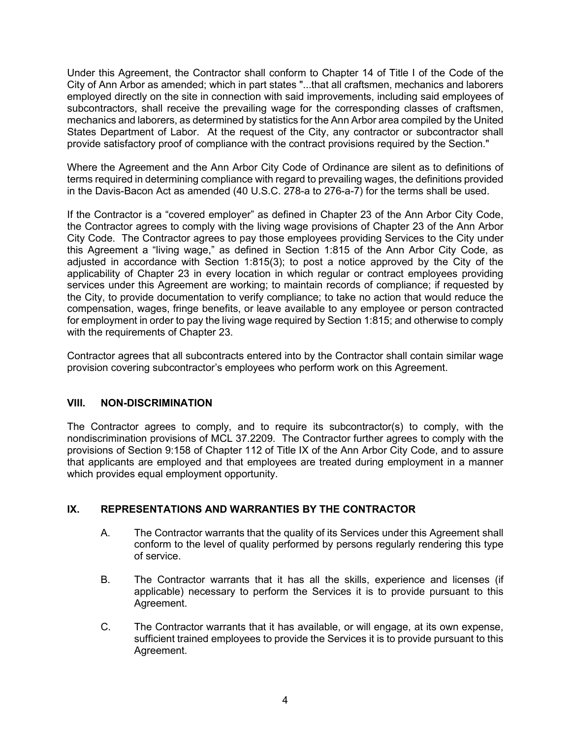Under this Agreement, the Contractor shall conform to Chapter 14 of Title I of the Code of the City of Ann Arbor as amended; which in part states "...that all craftsmen, mechanics and laborers employed directly on the site in connection with said improvements, including said employees of subcontractors, shall receive the prevailing wage for the corresponding classes of craftsmen, mechanics and laborers, as determined by statistics for the Ann Arbor area compiled by the United States Department of Labor. At the request of the City, any contractor or subcontractor shall provide satisfactory proof of compliance with the contract provisions required by the Section."

Where the Agreement and the Ann Arbor City Code of Ordinance are silent as to definitions of terms required in determining compliance with regard to prevailing wages, the definitions provided in the Davis-Bacon Act as amended (40 U.S.C. 278-a to 276-a-7) for the terms shall be used.

If the Contractor is a "covered employer" as defined in Chapter 23 of the Ann Arbor City Code, the Contractor agrees to comply with the living wage provisions of Chapter 23 of the Ann Arbor City Code. The Contractor agrees to pay those employees providing Services to the City under this Agreement a "living wage," as defined in Section 1:815 of the Ann Arbor City Code, as adjusted in accordance with Section 1:815(3); to post a notice approved by the City of the applicability of Chapter 23 in every location in which regular or contract employees providing services under this Agreement are working; to maintain records of compliance; if requested by the City, to provide documentation to verify compliance; to take no action that would reduce the compensation, wages, fringe benefits, or leave available to any employee or person contracted for employment in order to pay the living wage required by Section 1:815; and otherwise to comply with the requirements of Chapter 23.

Contractor agrees that all subcontracts entered into by the Contractor shall contain similar wage provision covering subcontractor's employees who perform work on this Agreement.

# **VIII. NON-DISCRIMINATION**

The Contractor agrees to comply, and to require its subcontractor(s) to comply, with the nondiscrimination provisions of MCL 37.2209. The Contractor further agrees to comply with the provisions of Section 9:158 of Chapter 112 of Title IX of the Ann Arbor City Code, and to assure that applicants are employed and that employees are treated during employment in a manner which provides equal employment opportunity.

# **IX. REPRESENTATIONS AND WARRANTIES BY THE CONTRACTOR**

- A. The Contractor warrants that the quality of its Services under this Agreement shall conform to the level of quality performed by persons regularly rendering this type of service.
- B. The Contractor warrants that it has all the skills, experience and licenses (if applicable) necessary to perform the Services it is to provide pursuant to this Agreement.
- C. The Contractor warrants that it has available, or will engage, at its own expense, sufficient trained employees to provide the Services it is to provide pursuant to this Agreement.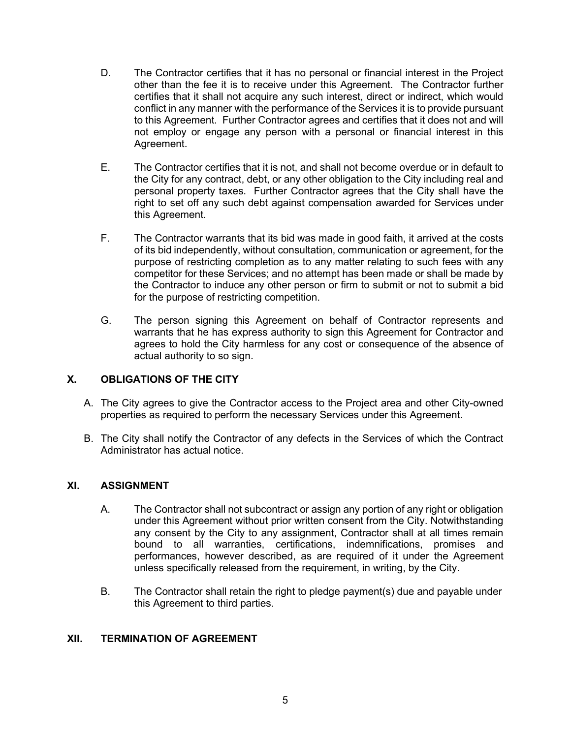- D. The Contractor certifies that it has no personal or financial interest in the Project other than the fee it is to receive under this Agreement. The Contractor further certifies that it shall not acquire any such interest, direct or indirect, which would conflict in any manner with the performance of the Services it is to provide pursuant to this Agreement. Further Contractor agrees and certifies that it does not and will not employ or engage any person with a personal or financial interest in this Agreement.
- E. The Contractor certifies that it is not, and shall not become overdue or in default to the City for any contract, debt, or any other obligation to the City including real and personal property taxes. Further Contractor agrees that the City shall have the right to set off any such debt against compensation awarded for Services under this Agreement.
- F. The Contractor warrants that its bid was made in good faith, it arrived at the costs of its bid independently, without consultation, communication or agreement, for the purpose of restricting completion as to any matter relating to such fees with any competitor for these Services; and no attempt has been made or shall be made by the Contractor to induce any other person or firm to submit or not to submit a bid for the purpose of restricting competition.
- G. The person signing this Agreement on behalf of Contractor represents and warrants that he has express authority to sign this Agreement for Contractor and agrees to hold the City harmless for any cost or consequence of the absence of actual authority to so sign.

# **X. OBLIGATIONS OF THE CITY**

- A. The City agrees to give the Contractor access to the Project area and other City-owned properties as required to perform the necessary Services under this Agreement.
- B. The City shall notify the Contractor of any defects in the Services of which the Contract Administrator has actual notice.

### **XI. ASSIGNMENT**

- A. The Contractor shall not subcontract or assign any portion of any right or obligation under this Agreement without prior written consent from the City. Notwithstanding any consent by the City to any assignment, Contractor shall at all times remain bound to all warranties, certifications, indemnifications, promises and performances, however described, as are required of it under the Agreement unless specifically released from the requirement, in writing, by the City.
- B. The Contractor shall retain the right to pledge payment(s) due and payable under this Agreement to third parties.

### **XII. TERMINATION OF AGREEMENT**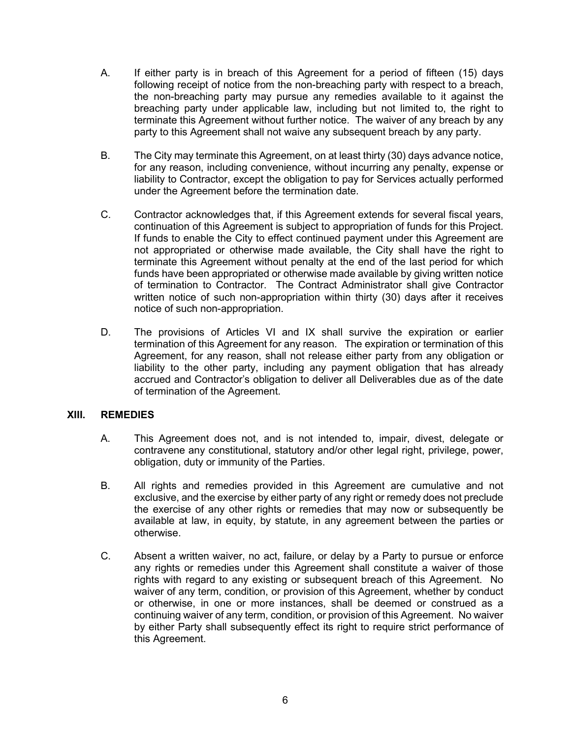- A. If either party is in breach of this Agreement for a period of fifteen (15) days following receipt of notice from the non-breaching party with respect to a breach, the non-breaching party may pursue any remedies available to it against the breaching party under applicable law, including but not limited to, the right to terminate this Agreement without further notice. The waiver of any breach by any party to this Agreement shall not waive any subsequent breach by any party.
- B. The City may terminate this Agreement, on at least thirty (30) days advance notice, for any reason, including convenience, without incurring any penalty, expense or liability to Contractor, except the obligation to pay for Services actually performed under the Agreement before the termination date.
- C. Contractor acknowledges that, if this Agreement extends for several fiscal years, continuation of this Agreement is subject to appropriation of funds for this Project. If funds to enable the City to effect continued payment under this Agreement are not appropriated or otherwise made available, the City shall have the right to terminate this Agreement without penalty at the end of the last period for which funds have been appropriated or otherwise made available by giving written notice of termination to Contractor. The Contract Administrator shall give Contractor written notice of such non-appropriation within thirty (30) days after it receives notice of such non-appropriation.
- D. The provisions of Articles VI and IX shall survive the expiration or earlier termination of this Agreement for any reason. The expiration or termination of this Agreement, for any reason, shall not release either party from any obligation or liability to the other party, including any payment obligation that has already accrued and Contractor's obligation to deliver all Deliverables due as of the date of termination of the Agreement.

### **XIII. REMEDIES**

- A. This Agreement does not, and is not intended to, impair, divest, delegate or contravene any constitutional, statutory and/or other legal right, privilege, power, obligation, duty or immunity of the Parties.
- B. All rights and remedies provided in this Agreement are cumulative and not exclusive, and the exercise by either party of any right or remedy does not preclude the exercise of any other rights or remedies that may now or subsequently be available at law, in equity, by statute, in any agreement between the parties or otherwise.
- C. Absent a written waiver, no act, failure, or delay by a Party to pursue or enforce any rights or remedies under this Agreement shall constitute a waiver of those rights with regard to any existing or subsequent breach of this Agreement. No waiver of any term, condition, or provision of this Agreement, whether by conduct or otherwise, in one or more instances, shall be deemed or construed as a continuing waiver of any term, condition, or provision of this Agreement. No waiver by either Party shall subsequently effect its right to require strict performance of this Agreement.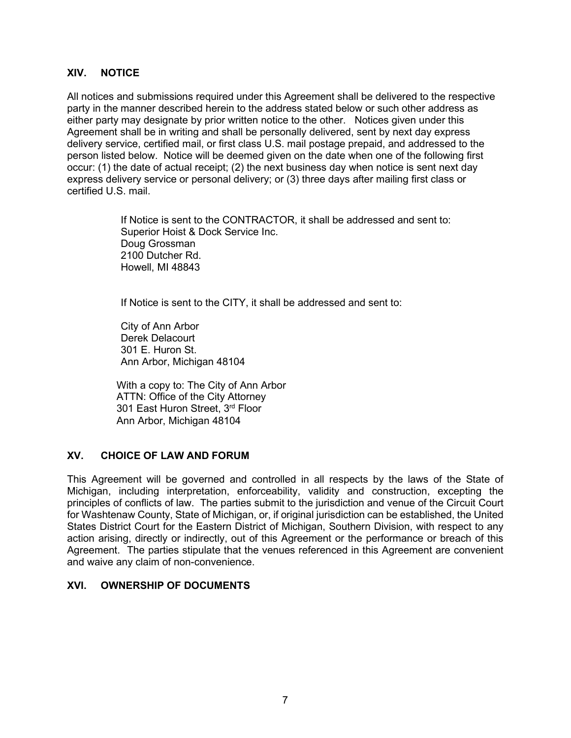### **XIV. NOTICE**

All notices and submissions required under this Agreement shall be delivered to the respective party in the manner described herein to the address stated below or such other address as either party may designate by prior written notice to the other. Notices given under this Agreement shall be in writing and shall be personally delivered, sent by next day express delivery service, certified mail, or first class U.S. mail postage prepaid, and addressed to the person listed below. Notice will be deemed given on the date when one of the following first occur: (1) the date of actual receipt; (2) the next business day when notice is sent next day express delivery service or personal delivery; or (3) three days after mailing first class or certified U.S. mail.

> If Notice is sent to the CONTRACTOR, it shall be addressed and sent to: Superior Hoist & Dock Service Inc. Doug Grossman 2100 Dutcher Rd. Howell, MI 48843

If Notice is sent to the CITY, it shall be addressed and sent to:

City of Ann Arbor Derek Delacourt 301 E. Huron St. Ann Arbor, Michigan 48104

With a copy to: The City of Ann Arbor ATTN: Office of the City Attorney 301 East Huron Street, 3rd Floor Ann Arbor, Michigan 48104

### **XV. CHOICE OF LAW AND FORUM**

This Agreement will be governed and controlled in all respects by the laws of the State of Michigan, including interpretation, enforceability, validity and construction, excepting the principles of conflicts of law. The parties submit to the jurisdiction and venue of the Circuit Court for Washtenaw County, State of Michigan, or, if original jurisdiction can be established, the United States District Court for the Eastern District of Michigan, Southern Division, with respect to any action arising, directly or indirectly, out of this Agreement or the performance or breach of this Agreement. The parties stipulate that the venues referenced in this Agreement are convenient and waive any claim of non-convenience.

### **XVI. OWNERSHIP OF DOCUMENTS**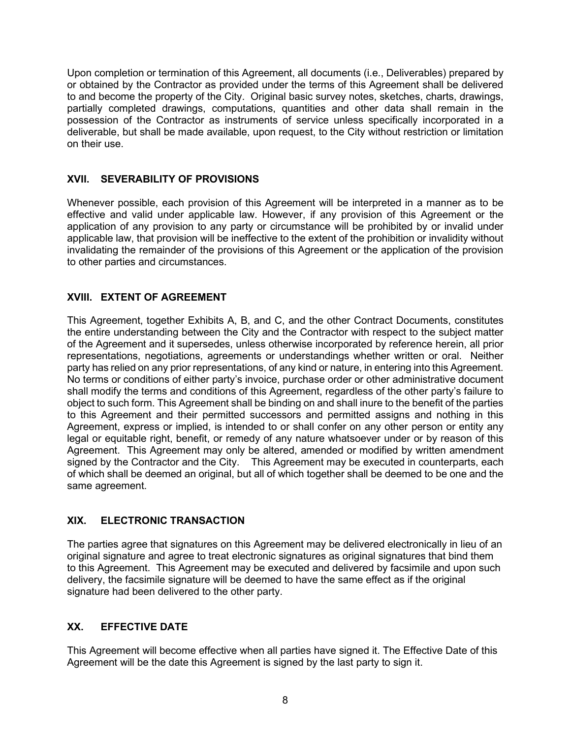Upon completion or termination of this Agreement, all documents (i.e., Deliverables) prepared by or obtained by the Contractor as provided under the terms of this Agreement shall be delivered to and become the property of the City. Original basic survey notes, sketches, charts, drawings, partially completed drawings, computations, quantities and other data shall remain in the possession of the Contractor as instruments of service unless specifically incorporated in a deliverable, but shall be made available, upon request, to the City without restriction or limitation on their use.

# **XVII. SEVERABILITY OF PROVISIONS**

Whenever possible, each provision of this Agreement will be interpreted in a manner as to be effective and valid under applicable law. However, if any provision of this Agreement or the application of any provision to any party or circumstance will be prohibited by or invalid under applicable law, that provision will be ineffective to the extent of the prohibition or invalidity without invalidating the remainder of the provisions of this Agreement or the application of the provision to other parties and circumstances.

# **XVIII. EXTENT OF AGREEMENT**

This Agreement, together Exhibits A, B, and C, and the other Contract Documents, constitutes the entire understanding between the City and the Contractor with respect to the subject matter of the Agreement and it supersedes, unless otherwise incorporated by reference herein, all prior representations, negotiations, agreements or understandings whether written or oral. Neither party has relied on any prior representations, of any kind or nature, in entering into this Agreement. No terms or conditions of either party's invoice, purchase order or other administrative document shall modify the terms and conditions of this Agreement, regardless of the other party's failure to object to such form. This Agreement shall be binding on and shall inure to the benefit of the parties to this Agreement and their permitted successors and permitted assigns and nothing in this Agreement, express or implied, is intended to or shall confer on any other person or entity any legal or equitable right, benefit, or remedy of any nature whatsoever under or by reason of this Agreement. This Agreement may only be altered, amended or modified by written amendment signed by the Contractor and the City. This Agreement may be executed in counterparts, each of which shall be deemed an original, but all of which together shall be deemed to be one and the same agreement.

# **XIX. ELECTRONIC TRANSACTION**

The parties agree that signatures on this Agreement may be delivered electronically in lieu of an original signature and agree to treat electronic signatures as original signatures that bind them to this Agreement. This Agreement may be executed and delivered by facsimile and upon such delivery, the facsimile signature will be deemed to have the same effect as if the original signature had been delivered to the other party.

# **XX. EFFECTIVE DATE**

This Agreement will become effective when all parties have signed it. The Effective Date of this Agreement will be the date this Agreement is signed by the last party to sign it.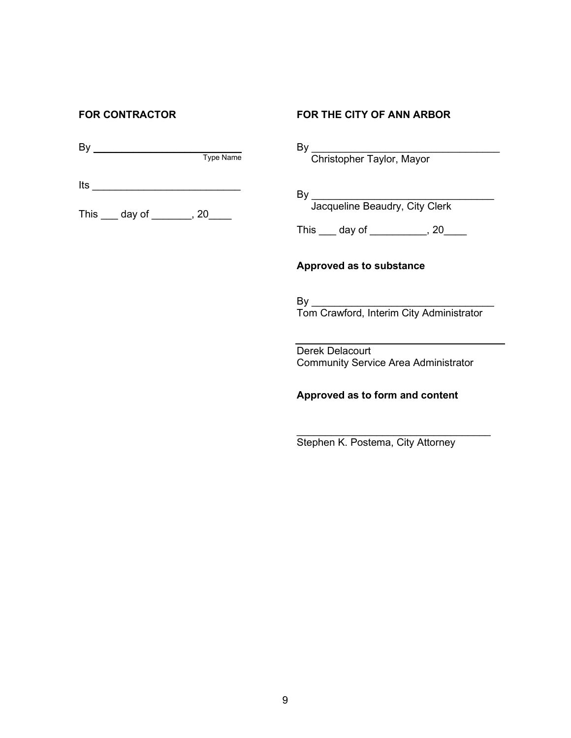By \_\_\_\_\_\_\_\_\_\_\_\_\_\_\_\_\_\_\_\_\_\_\_\_\_\_ Type Name

 $Its$ 

This \_\_\_\_ day of \_\_\_\_\_\_\_, 20\_\_\_\_

# **FOR CONTRACTOR FOR THE CITY OF ANN ARBOR**

By \_\_\_\_\_\_\_\_\_\_\_\_\_\_\_\_\_\_\_\_\_\_\_\_\_\_\_\_\_\_\_\_\_

Christopher Taylor, Mayor

By \_\_\_\_\_\_\_\_\_\_\_\_\_\_\_\_\_\_\_\_\_\_\_\_\_\_\_\_\_\_\_\_ Jacqueline Beaudry, City Clerk

This \_\_\_\_ day of \_\_\_\_\_\_\_\_\_\_, 20\_\_\_\_

## **Approved as to substance**

By \_\_\_\_\_\_\_\_\_\_\_\_\_\_\_\_\_\_\_\_\_\_\_\_\_\_\_\_\_\_\_\_ Tom Crawford, Interim City Administrator

Derek Delacourt Community Service Area Administrator

**Approved as to form and content**

\_\_\_\_\_\_\_\_\_\_\_\_\_\_\_\_\_\_\_\_\_\_\_\_\_\_\_\_\_\_\_\_\_\_ Stephen K. Postema, City Attorney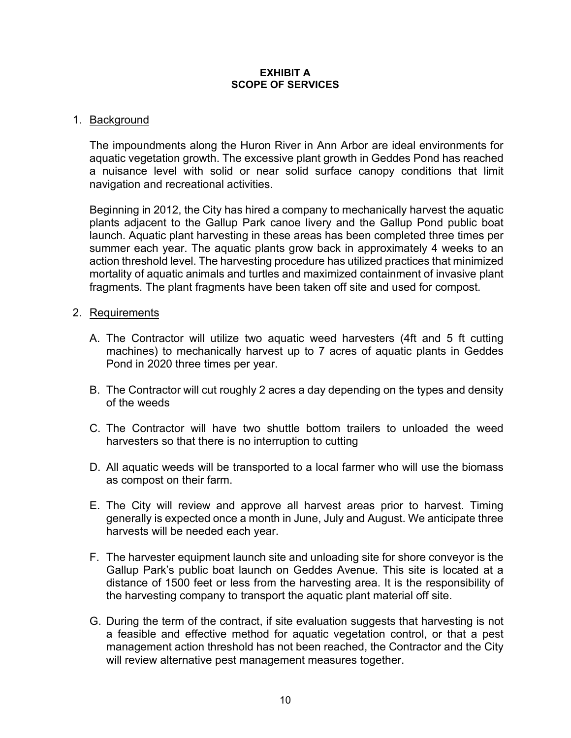#### **EXHIBIT A SCOPE OF SERVICES**

# 1. Background

The impoundments along the Huron River in Ann Arbor are ideal environments for aquatic vegetation growth. The excessive plant growth in Geddes Pond has reached a nuisance level with solid or near solid surface canopy conditions that limit navigation and recreational activities.

Beginning in 2012, the City has hired a company to mechanically harvest the aquatic plants adjacent to the Gallup Park canoe livery and the Gallup Pond public boat launch. Aquatic plant harvesting in these areas has been completed three times per summer each year. The aquatic plants grow back in approximately 4 weeks to an action threshold level. The harvesting procedure has utilized practices that minimized mortality of aquatic animals and turtles and maximized containment of invasive plant fragments. The plant fragments have been taken off site and used for compost.

# 2. Requirements

- A. The Contractor will utilize two aquatic weed harvesters (4ft and 5 ft cutting machines) to mechanically harvest up to 7 acres of aquatic plants in Geddes Pond in 2020 three times per year.
- B. The Contractor will cut roughly 2 acres a day depending on the types and density of the weeds
- C. The Contractor will have two shuttle bottom trailers to unloaded the weed harvesters so that there is no interruption to cutting
- D. All aquatic weeds will be transported to a local farmer who will use the biomass as compost on their farm.
- E. The City will review and approve all harvest areas prior to harvest. Timing generally is expected once a month in June, July and August. We anticipate three harvests will be needed each year.
- F. The harvester equipment launch site and unloading site for shore conveyor is the Gallup Park's public boat launch on Geddes Avenue. This site is located at a distance of 1500 feet or less from the harvesting area. It is the responsibility of the harvesting company to transport the aquatic plant material off site.
- G. During the term of the contract, if site evaluation suggests that harvesting is not a feasible and effective method for aquatic vegetation control, or that a pest management action threshold has not been reached, the Contractor and the City will review alternative pest management measures together.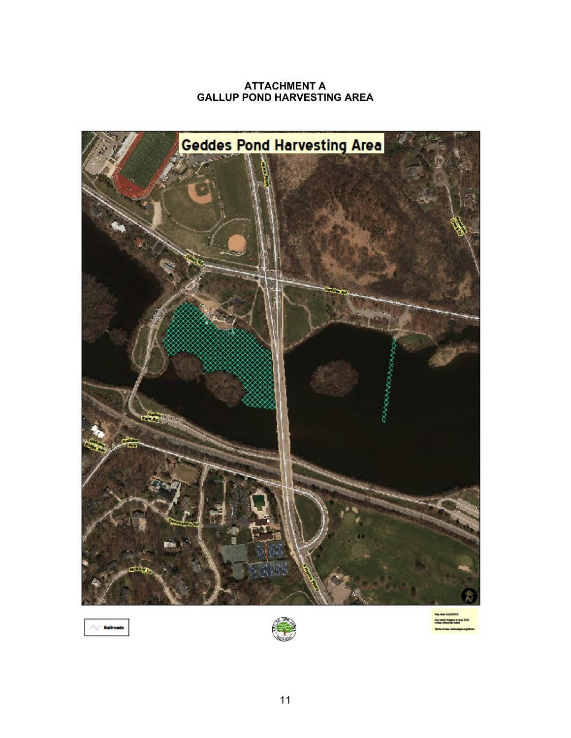## **ATTACHMENT A GALLUP POND HARVESTING AREA**



 $\sim$  Railr

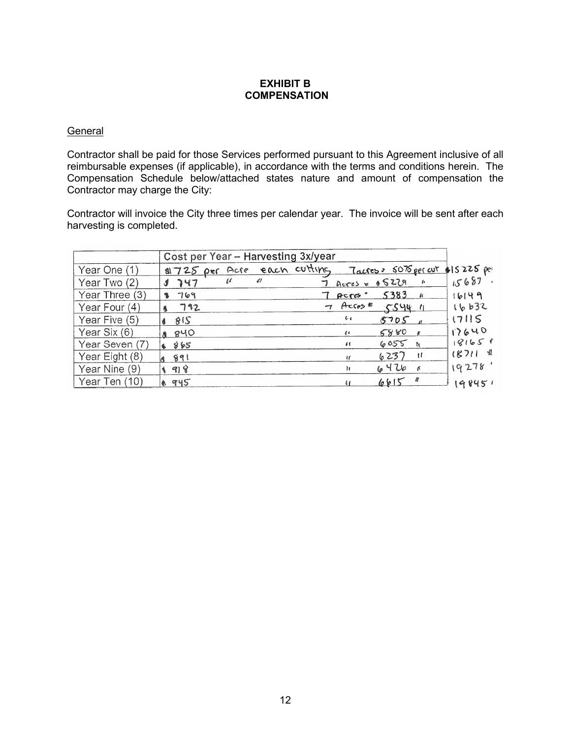### **EXHIBIT B COMPENSATION**

### **General**

Contractor shall be paid for those Services performed pursuant to this Agreement inclusive of all reimbursable expenses (if applicable), in accordance with the terms and conditions herein. The Compensation Schedule below/attached states nature and amount of compensation the Contractor may charge the City:

Contractor will invoice the City three times per calendar year. The invoice will be sent after each harvesting is completed.

|                | Cost per Year - Harvesting 3x/year |                                                              |         |
|----------------|------------------------------------|--------------------------------------------------------------|---------|
| Year One (1)   |                                    | al 725 per Acre each cutting Tacres: 50% per art \$15225 per |         |
| Year Two (2)   | u<br>$\frac{1}{2}$<br>$J$ 747      | $7 \text{ Access} \times 65229$ "                            | 15687   |
| Year Three (3) | 1 769                              | $7 \text{ecps}$ 5383 $\mu$                                   | 16149   |
| Year Four (4)  | 4792                               |                                                              | 16632   |
| Year Five (5)  | 815                                | e c<br>$5705$ $_{1}$                                         | 17115   |
| Year Six (6)   | 8 840                              | $6880 +$<br>$\epsilon$                                       | 17640   |
| Year Seven (7) | 4865                               | 6055R<br>$\iota$                                             | 18165   |
| Year Eight (8) | 891                                | $6237$ 11<br>$\mathbf{r}$                                    | (871) 机 |
| Year Nine (9)  | ४ 918                              | 64266<br>Ìf.                                                 | 19278'  |
| Year Ten (10)  | <b>A 945</b>                       | $6615$ "                                                     | 198451  |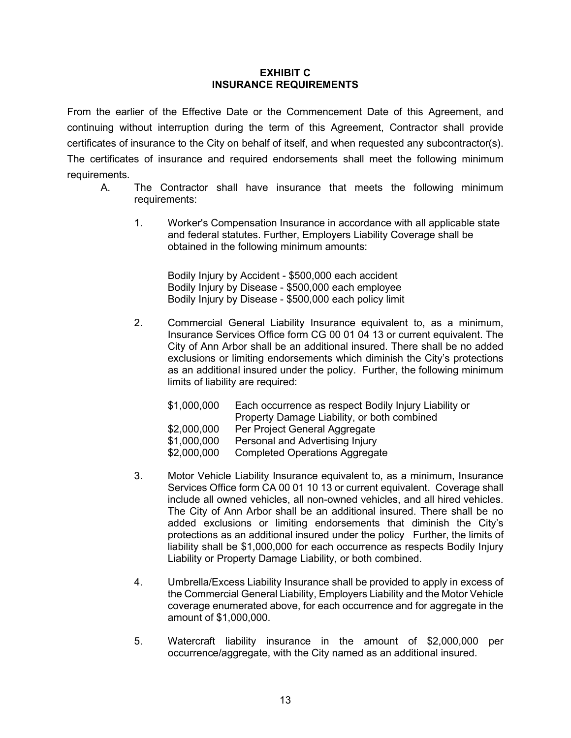#### **EXHIBIT C INSURANCE REQUIREMENTS**

From the earlier of the Effective Date or the Commencement Date of this Agreement, and continuing without interruption during the term of this Agreement, Contractor shall provide certificates of insurance to the City on behalf of itself, and when requested any subcontractor(s). The certificates of insurance and required endorsements shall meet the following minimum requirements.

- A. The Contractor shall have insurance that meets the following minimum requirements:
	- 1. Worker's Compensation Insurance in accordance with all applicable state and federal statutes. Further, Employers Liability Coverage shall be obtained in the following minimum amounts:

Bodily Injury by Accident - \$500,000 each accident Bodily Injury by Disease - \$500,000 each employee Bodily Injury by Disease - \$500,000 each policy limit

2. Commercial General Liability Insurance equivalent to, as a minimum, Insurance Services Office form CG 00 01 04 13 or current equivalent. The City of Ann Arbor shall be an additional insured. There shall be no added exclusions or limiting endorsements which diminish the City's protections as an additional insured under the policy. Further, the following minimum limits of liability are required:

| \$1,000,000 | Each occurrence as respect Bodily Injury Liability or<br>Property Damage Liability, or both combined |
|-------------|------------------------------------------------------------------------------------------------------|
| \$2,000,000 | Per Project General Aggregate                                                                        |
| \$1,000,000 | Personal and Advertising Injury                                                                      |
| \$2,000,000 | <b>Completed Operations Aggregate</b>                                                                |
|             |                                                                                                      |

- 3. Motor Vehicle Liability Insurance equivalent to, as a minimum, Insurance Services Office form CA 00 01 10 13 or current equivalent. Coverage shall include all owned vehicles, all non-owned vehicles, and all hired vehicles. The City of Ann Arbor shall be an additional insured. There shall be no added exclusions or limiting endorsements that diminish the City's protections as an additional insured under the policy Further, the limits of liability shall be \$1,000,000 for each occurrence as respects Bodily Injury Liability or Property Damage Liability, or both combined.
- 4. Umbrella/Excess Liability Insurance shall be provided to apply in excess of the Commercial General Liability, Employers Liability and the Motor Vehicle coverage enumerated above, for each occurrence and for aggregate in the amount of \$1,000,000.
- 5. Watercraft liability insurance in the amount of \$2,000,000 per occurrence/aggregate, with the City named as an additional insured.